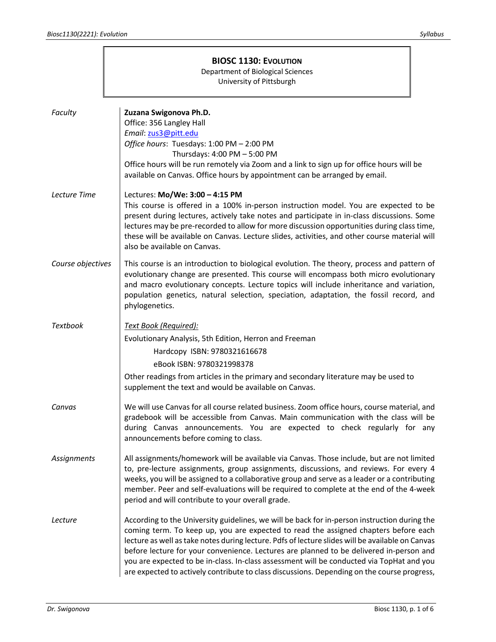|                    | <b>BIOSC 1130: EVOLUTION</b><br><b>Department of Biological Sciences</b><br>University of Pittsburgh                                                                                                                                                                                                                                                                                                                                                                                                                                                                           |  |  |  |
|--------------------|--------------------------------------------------------------------------------------------------------------------------------------------------------------------------------------------------------------------------------------------------------------------------------------------------------------------------------------------------------------------------------------------------------------------------------------------------------------------------------------------------------------------------------------------------------------------------------|--|--|--|
| Faculty            | Zuzana Swigonova Ph.D.<br>Office: 356 Langley Hall<br>Email: zus3@pitt.edu<br>Office hours: Tuesdays: 1:00 PM - 2:00 PM<br>Thursdays: 4:00 PM - 5:00 PM<br>Office hours will be run remotely via Zoom and a link to sign up for office hours will be<br>available on Canvas. Office hours by appointment can be arranged by email.                                                                                                                                                                                                                                             |  |  |  |
| Lecture Time       | Lectures: Mo/We: 3:00 - 4:15 PM<br>This course is offered in a 100% in-person instruction model. You are expected to be<br>present during lectures, actively take notes and participate in in-class discussions. Some<br>lectures may be pre-recorded to allow for more discussion opportunities during class time,<br>these will be available on Canvas. Lecture slides, activities, and other course material will<br>also be available on Canvas.                                                                                                                           |  |  |  |
| Course objectives  | This course is an introduction to biological evolution. The theory, process and pattern of<br>evolutionary change are presented. This course will encompass both micro evolutionary<br>and macro evolutionary concepts. Lecture topics will include inheritance and variation,<br>population genetics, natural selection, speciation, adaptation, the fossil record, and<br>phylogenetics.                                                                                                                                                                                     |  |  |  |
| <b>Textbook</b>    | Text Book (Required):<br>Evolutionary Analysis, 5th Edition, Herron and Freeman<br>Hardcopy ISBN: 9780321616678<br>eBook ISBN: 9780321998378<br>Other readings from articles in the primary and secondary literature may be used to<br>supplement the text and would be available on Canvas.                                                                                                                                                                                                                                                                                   |  |  |  |
| Canvas             | We will use Canvas for all course related business. Zoom office hours, course material, and<br>gradebook will be accessible from Canvas. Main communication with the class will be<br>during Canvas announcements. You are expected to check regularly for any<br>announcements before coming to class.                                                                                                                                                                                                                                                                        |  |  |  |
| <b>Assignments</b> | All assignments/homework will be available via Canvas. Those include, but are not limited<br>to, pre-lecture assignments, group assignments, discussions, and reviews. For every 4<br>weeks, you will be assigned to a collaborative group and serve as a leader or a contributing<br>member. Peer and self-evaluations will be required to complete at the end of the 4-week<br>period and will contribute to your overall grade.                                                                                                                                             |  |  |  |
| Lecture            | According to the University guidelines, we will be back for in-person instruction during the<br>coming term. To keep up, you are expected to read the assigned chapters before each<br>lecture as well as take notes during lecture. Pdfs of lecture slides will be available on Canvas<br>before lecture for your convenience. Lectures are planned to be delivered in-person and<br>you are expected to be in-class. In-class assessment will be conducted via TopHat and you<br>are expected to actively contribute to class discussions. Depending on the course progress, |  |  |  |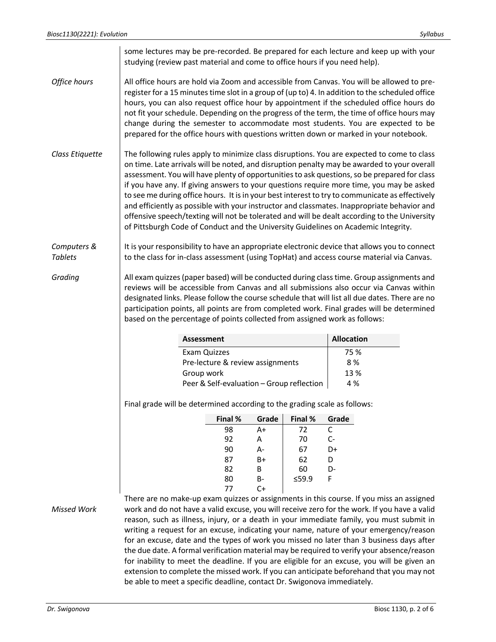|                               | some lectures may be pre-recorded. Be prepared for each lecture and keep up with your<br>studying (review past material and come to office hours if you need help).                                                                                                                                                                                                                                                                                                                                                                                                                                                                                                                                                                                                           |                                  |          |          |                   |                                                                                                                                                                                           |
|-------------------------------|-------------------------------------------------------------------------------------------------------------------------------------------------------------------------------------------------------------------------------------------------------------------------------------------------------------------------------------------------------------------------------------------------------------------------------------------------------------------------------------------------------------------------------------------------------------------------------------------------------------------------------------------------------------------------------------------------------------------------------------------------------------------------------|----------------------------------|----------|----------|-------------------|-------------------------------------------------------------------------------------------------------------------------------------------------------------------------------------------|
| Office hours                  | All office hours are hold via Zoom and accessible from Canvas. You will be allowed to pre-<br>register for a 15 minutes time slot in a group of (up to) 4. In addition to the scheduled office<br>hours, you can also request office hour by appointment if the scheduled office hours do<br>not fit your schedule. Depending on the progress of the term, the time of office hours may<br>change during the semester to accommodate most students. You are expected to be<br>prepared for the office hours with questions written down or marked in your notebook.                                                                                                                                                                                                           |                                  |          |          |                   |                                                                                                                                                                                           |
| Class Etiquette               | The following rules apply to minimize class disruptions. You are expected to come to class<br>on time. Late arrivals will be noted, and disruption penalty may be awarded to your overall<br>assessment. You will have plenty of opportunities to ask questions, so be prepared for class<br>if you have any. If giving answers to your questions require more time, you may be asked<br>to see me during office hours. It is in your best interest to try to communicate as effectively<br>and efficiently as possible with your instructor and classmates. Inappropriate behavior and<br>offensive speech/texting will not be tolerated and will be dealt according to the University<br>of Pittsburgh Code of Conduct and the University Guidelines on Academic Integrity. |                                  |          |          |                   |                                                                                                                                                                                           |
| Computers &<br><b>Tablets</b> | It is your responsibility to have an appropriate electronic device that allows you to connect<br>to the class for in-class assessment (using TopHat) and access course material via Canvas.                                                                                                                                                                                                                                                                                                                                                                                                                                                                                                                                                                                   |                                  |          |          |                   |                                                                                                                                                                                           |
| Grading                       | All exam quizzes (paper based) will be conducted during class time. Group assignments and<br>reviews will be accessible from Canvas and all submissions also occur via Canvas within<br>designated links. Please follow the course schedule that will list all due dates. There are no<br>participation points, all points are from completed work. Final grades will be determined<br>based on the percentage of points collected from assigned work as follows:                                                                                                                                                                                                                                                                                                             |                                  |          |          |                   |                                                                                                                                                                                           |
|                               |                                                                                                                                                                                                                                                                                                                                                                                                                                                                                                                                                                                                                                                                                                                                                                               | <b>Assessment</b>                |          |          | <b>Allocation</b> |                                                                                                                                                                                           |
|                               |                                                                                                                                                                                                                                                                                                                                                                                                                                                                                                                                                                                                                                                                                                                                                                               | Exam Quizzes                     |          |          | 75 %              |                                                                                                                                                                                           |
|                               |                                                                                                                                                                                                                                                                                                                                                                                                                                                                                                                                                                                                                                                                                                                                                                               | Pre-lecture & review assignments |          |          | 8%                |                                                                                                                                                                                           |
|                               |                                                                                                                                                                                                                                                                                                                                                                                                                                                                                                                                                                                                                                                                                                                                                                               | Group work                       |          |          | 13 %              |                                                                                                                                                                                           |
|                               | Peer & Self-evaluation - Group reflection<br>4 %<br>Final grade will be determined according to the grading scale as follows:                                                                                                                                                                                                                                                                                                                                                                                                                                                                                                                                                                                                                                                 |                                  |          |          |                   |                                                                                                                                                                                           |
|                               |                                                                                                                                                                                                                                                                                                                                                                                                                                                                                                                                                                                                                                                                                                                                                                               |                                  |          |          |                   |                                                                                                                                                                                           |
|                               |                                                                                                                                                                                                                                                                                                                                                                                                                                                                                                                                                                                                                                                                                                                                                                               | Final %                          | Grade    | Final %  | Grade             |                                                                                                                                                                                           |
|                               |                                                                                                                                                                                                                                                                                                                                                                                                                                                                                                                                                                                                                                                                                                                                                                               | 98                               | A+       | 72       | C                 |                                                                                                                                                                                           |
|                               |                                                                                                                                                                                                                                                                                                                                                                                                                                                                                                                                                                                                                                                                                                                                                                               | 92                               | A        | 70       | $C -$             |                                                                                                                                                                                           |
|                               |                                                                                                                                                                                                                                                                                                                                                                                                                                                                                                                                                                                                                                                                                                                                                                               | 90<br>87                         | А-<br>B+ | 67<br>62 | D+<br>D           |                                                                                                                                                                                           |
|                               |                                                                                                                                                                                                                                                                                                                                                                                                                                                                                                                                                                                                                                                                                                                                                                               | 82                               | В        | 60       | D-                |                                                                                                                                                                                           |
|                               |                                                                                                                                                                                                                                                                                                                                                                                                                                                                                                                                                                                                                                                                                                                                                                               | 80                               | В-       | ≤59.9    | F                 |                                                                                                                                                                                           |
|                               |                                                                                                                                                                                                                                                                                                                                                                                                                                                                                                                                                                                                                                                                                                                                                                               | 77                               | $C+$     |          |                   |                                                                                                                                                                                           |
|                               |                                                                                                                                                                                                                                                                                                                                                                                                                                                                                                                                                                                                                                                                                                                                                                               |                                  |          |          |                   | There are no make-up exam quizzes or assignments in this course. If you miss an assigned                                                                                                  |
| <b>Missed Work</b>            | work and do not have a valid excuse, you will receive zero for the work. If you have a valid                                                                                                                                                                                                                                                                                                                                                                                                                                                                                                                                                                                                                                                                                  |                                  |          |          |                   |                                                                                                                                                                                           |
|                               | reason, such as illness, injury, or a death in your immediate family, you must submit in<br>writing a request for an excuse, indicating your name, nature of your emergency/reason                                                                                                                                                                                                                                                                                                                                                                                                                                                                                                                                                                                            |                                  |          |          |                   |                                                                                                                                                                                           |
|                               | for an excuse, date and the types of work you missed no later than 3 business days after                                                                                                                                                                                                                                                                                                                                                                                                                                                                                                                                                                                                                                                                                      |                                  |          |          |                   |                                                                                                                                                                                           |
|                               |                                                                                                                                                                                                                                                                                                                                                                                                                                                                                                                                                                                                                                                                                                                                                                               |                                  |          |          |                   |                                                                                                                                                                                           |
|                               |                                                                                                                                                                                                                                                                                                                                                                                                                                                                                                                                                                                                                                                                                                                                                                               |                                  |          |          |                   |                                                                                                                                                                                           |
|                               |                                                                                                                                                                                                                                                                                                                                                                                                                                                                                                                                                                                                                                                                                                                                                                               |                                  |          |          |                   | the due date. A formal verification material may be required to verify your absence/reason<br>for inability to meet the deadline. If you are eligible for an excuse, you will be given an |

be able to meet a specific deadline, contact Dr. Swigonova immediately.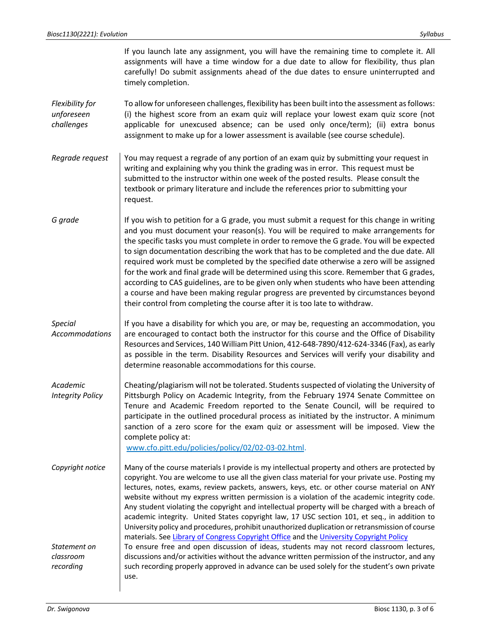|                                             | If you launch late any assignment, you will have the remaining time to complete it. All<br>assignments will have a time window for a due date to allow for flexibility, thus plan<br>carefully! Do submit assignments ahead of the due dates to ensure uninterrupted and<br>timely completion.                                                                                                                                                                                                                                                                                                                                                                                                                                                                                                                                       |
|---------------------------------------------|--------------------------------------------------------------------------------------------------------------------------------------------------------------------------------------------------------------------------------------------------------------------------------------------------------------------------------------------------------------------------------------------------------------------------------------------------------------------------------------------------------------------------------------------------------------------------------------------------------------------------------------------------------------------------------------------------------------------------------------------------------------------------------------------------------------------------------------|
| Flexibility for<br>unforeseen<br>challenges | To allow for unforeseen challenges, flexibility has been built into the assessment as follows:<br>(i) the highest score from an exam quiz will replace your lowest exam quiz score (not<br>applicable for unexcused absence; can be used only once/term); (ii) extra bonus<br>assignment to make up for a lower assessment is available (see course schedule).                                                                                                                                                                                                                                                                                                                                                                                                                                                                       |
| Regrade request                             | You may request a regrade of any portion of an exam quiz by submitting your request in<br>writing and explaining why you think the grading was in error. This request must be<br>submitted to the instructor within one week of the posted results. Please consult the<br>textbook or primary literature and include the references prior to submitting your<br>request.                                                                                                                                                                                                                                                                                                                                                                                                                                                             |
| G grade                                     | If you wish to petition for a G grade, you must submit a request for this change in writing<br>and you must document your reason(s). You will be required to make arrangements for<br>the specific tasks you must complete in order to remove the G grade. You will be expected<br>to sign documentation describing the work that has to be completed and the due date. All<br>required work must be completed by the specified date otherwise a zero will be assigned<br>for the work and final grade will be determined using this score. Remember that G grades,<br>according to CAS guidelines, are to be given only when students who have been attending<br>a course and have been making regular progress are prevented by circumstances beyond<br>their control from completing the course after it is too late to withdraw. |
| <b>Special</b><br><b>Accommodations</b>     | If you have a disability for which you are, or may be, requesting an accommodation, you<br>are encouraged to contact both the instructor for this course and the Office of Disability<br>Resources and Services, 140 William Pitt Union, 412-648-7890/412-624-3346 (Fax), as early<br>as possible in the term. Disability Resources and Services will verify your disability and<br>determine reasonable accommodations for this course.                                                                                                                                                                                                                                                                                                                                                                                             |
| Academic<br><b>Integrity Policy</b>         | Cheating/plagiarism will not be tolerated. Students suspected of violating the University of<br>Pittsburgh Policy on Academic Integrity, from the February 1974 Senate Committee on<br>Tenure and Academic Freedom reported to the Senate Council, will be required to<br>participate in the outlined procedural process as initiated by the instructor. A minimum<br>sanction of a zero score for the exam quiz or assessment will be imposed. View the<br>complete policy at:<br>www.cfo.pitt.edu/policies/policy/02/02-03-02.html.                                                                                                                                                                                                                                                                                                |
| Copyright notice                            | Many of the course materials I provide is my intellectual property and others are protected by<br>copyright. You are welcome to use all the given class material for your private use. Posting my<br>lectures, notes, exams, review packets, answers, keys, etc. or other course material on ANY<br>website without my express written permission is a violation of the academic integrity code.<br>Any student violating the copyright and intellectual property will be charged with a breach of<br>academic integrity. United States copyright law, 17 USC section 101, et seq., in addition to<br>University policy and procedures, prohibit unauthorized duplication or retransmission of course<br>materials. See Library of Congress Copyright Office and the University Copyright Policy                                     |
| Statement on<br>classroom<br>recording      | To ensure free and open discussion of ideas, students may not record classroom lectures,<br>discussions and/or activities without the advance written permission of the instructor, and any<br>such recording properly approved in advance can be used solely for the student's own private<br>use.                                                                                                                                                                                                                                                                                                                                                                                                                                                                                                                                  |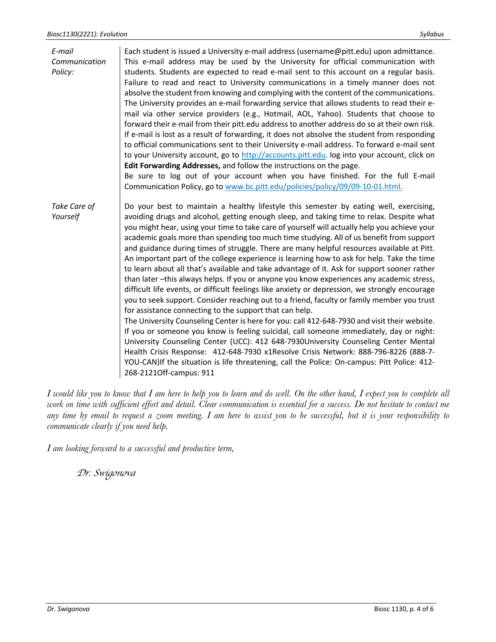| E-mail<br>Communication<br>Policy: | Each student is issued a University e-mail address (username@pitt.edu) upon admittance.<br>This e-mail address may be used by the University for official communication with<br>students. Students are expected to read e-mail sent to this account on a regular basis.<br>Failure to read and react to University communications in a timely manner does not<br>absolve the student from knowing and complying with the content of the communications.<br>The University provides an e-mail forwarding service that allows students to read their e-                                                                                                                                                                                                                                                                                                                                                                                                                                                                                                                                                                                                                                                                                                                                                                                                                                                                                                                                                                                 |  |  |  |
|------------------------------------|---------------------------------------------------------------------------------------------------------------------------------------------------------------------------------------------------------------------------------------------------------------------------------------------------------------------------------------------------------------------------------------------------------------------------------------------------------------------------------------------------------------------------------------------------------------------------------------------------------------------------------------------------------------------------------------------------------------------------------------------------------------------------------------------------------------------------------------------------------------------------------------------------------------------------------------------------------------------------------------------------------------------------------------------------------------------------------------------------------------------------------------------------------------------------------------------------------------------------------------------------------------------------------------------------------------------------------------------------------------------------------------------------------------------------------------------------------------------------------------------------------------------------------------|--|--|--|
|                                    | mail via other service providers (e.g., Hotmail, AOL, Yahoo). Students that choose to<br>forward their e-mail from their pitt.edu address to another address do so at their own risk.<br>If e-mail is lost as a result of forwarding, it does not absolve the student from responding<br>to official communications sent to their University e-mail address. To forward e-mail sent<br>to your University account, go to http://accounts.pitt.edu, log into your account, click on                                                                                                                                                                                                                                                                                                                                                                                                                                                                                                                                                                                                                                                                                                                                                                                                                                                                                                                                                                                                                                                    |  |  |  |
|                                    | Edit Forwarding Addresses, and follow the instructions on the page.<br>Be sure to log out of your account when you have finished. For the full E-mail<br>Communication Policy, go to www.bc.pitt.edu/policies/policy/09/09-10-01.html.                                                                                                                                                                                                                                                                                                                                                                                                                                                                                                                                                                                                                                                                                                                                                                                                                                                                                                                                                                                                                                                                                                                                                                                                                                                                                                |  |  |  |
| Take Care of<br>Yourself           | Do your best to maintain a healthy lifestyle this semester by eating well, exercising,<br>avoiding drugs and alcohol, getting enough sleep, and taking time to relax. Despite what<br>you might hear, using your time to take care of yourself will actually help you achieve your<br>academic goals more than spending too much time studying. All of us benefit from support<br>and guidance during times of struggle. There are many helpful resources available at Pitt.<br>An important part of the college experience is learning how to ask for help. Take the time<br>to learn about all that's available and take advantage of it. Ask for support sooner rather<br>than later -this always helps. If you or anyone you know experiences any academic stress,<br>difficult life events, or difficult feelings like anxiety or depression, we strongly encourage<br>you to seek support. Consider reaching out to a friend, faculty or family member you trust<br>for assistance connecting to the support that can help.<br>The University Counseling Center is here for you: call 412-648-7930 and visit their website.<br>If you or someone you know is feeling suicidal, call someone immediately, day or night:<br>University Counseling Center (UCC): 412 648-7930University Counseling Center Mental<br>Health Crisis Response: 412-648-7930 x1Resolve Crisis Network: 888-796-8226 (888-7-<br>YOU-CAN) If the situation is life threatening, call the Police: On-campus: Pitt Police: 412-<br>268-2121Off-campus: 911 |  |  |  |

*I would like you to know that I am here to help you to learn and do well. On the other hand, I expect you to complete all work on time with sufficient effort and detail. Clear communication is essential for a success. Do not hesitate to contact me any time by email to request a zoom meeting. I am here to assist you to be successful, but it is your responsibility to communicate clearly if you need help.*

*I am looking forward to a successful and productive term,*

*Dr. Swigonova*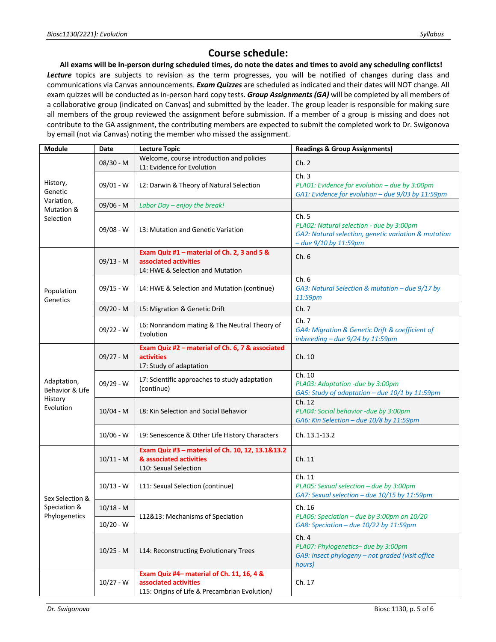## **Course schedule:**

**All exams will be in-person during scheduled times, do note the dates and times to avoid any scheduling conflicts!** *Lecture* topics are subjects to revision as the term progresses, you will be notified of changes during class and communications via Canvas announcements. *Exam Quizzes* are scheduled as indicated and their dates will NOT change. All exam quizzes will be conducted as in-person hard copy tests. *Group Assignments (GA)* will be completed by all members of a collaborative group (indicated on Canvas) and submitted by the leader. The group leader is responsible for making sure all members of the group reviewed the assignment before submission. If a member of a group is missing and does not contribute to the GA assignment, the contributing members are expected to submit the completed work to Dr. Swigonova by email (not via Canvas) noting the member who missed the assignment.

| Module                                                 | Date        | <b>Lecture Topic</b>                                                                                                | <b>Readings &amp; Group Assignments)</b>                                                                                           |
|--------------------------------------------------------|-------------|---------------------------------------------------------------------------------------------------------------------|------------------------------------------------------------------------------------------------------------------------------------|
| History,<br>Genetic                                    | 08/30 - M   | Welcome, course introduction and policies<br>L1: Evidence for Evolution                                             | Ch. 2                                                                                                                              |
|                                                        | 09/01 - W   | L2: Darwin & Theory of Natural Selection                                                                            | Ch.3<br>PLA01: Evidence for evolution - due by 3:00pm<br>GA1: Evidence for evolution - due 9/03 by 11:59pm                         |
| Variation,                                             | 09/06 - M   | Labor Day - enjoy the break!                                                                                        |                                                                                                                                    |
| Mutation &<br>Selection                                | $09/08 - W$ | L3: Mutation and Genetic Variation                                                                                  | Ch. 5<br>PLA02: Natural selection - due by 3:00pm<br>GA2: Natural selection, genetic variation & mutation<br>- due 9/10 by 11:59pm |
| Population<br>Genetics                                 | $09/13 - M$ | Exam Quiz #1 - material of Ch. 2, 3 and 5 &<br>associated activities<br>L4: HWE & Selection and Mutation            | Ch.6                                                                                                                               |
|                                                        | $09/15 - W$ | L4: HWE & Selection and Mutation (continue)                                                                         | Ch.6<br>GA3: Natural Selection & mutation – due $9/17$ by<br>11:59pm                                                               |
|                                                        | $09/20 - M$ | L5: Migration & Genetic Drift                                                                                       | Ch. 7                                                                                                                              |
|                                                        | $09/22 - W$ | L6: Nonrandom mating & The Neutral Theory of<br>Evolution                                                           | Ch. 7<br>GA4: Migration & Genetic Drift & coefficient of<br>inbreeding - due 9/24 by 11:59pm                                       |
| Adaptation,<br>Behavior & Life<br>History<br>Evolution | $09/27 - M$ | Exam Quiz #2 - material of Ch. 6, 7 & associated<br><b>activities</b><br>L7: Study of adaptation                    | Ch. 10                                                                                                                             |
|                                                        | $09/29 - W$ | L7: Scientific approaches to study adaptation<br>(continue)                                                         | Ch. 10<br>PLA03: Adaptation -due by 3:00pm<br>GA5: Study of adaptation - due 10/1 by 11:59pm                                       |
|                                                        | $10/04 - M$ | L8: Kin Selection and Social Behavior                                                                               | Ch. 12<br>PLA04: Social behavior -due by 3:00pm<br>GA6: Kin Selection - due 10/8 by 11:59pm                                        |
|                                                        | $10/06 - W$ | L9: Senescence & Other Life History Characters                                                                      | Ch. 13.1-13.2                                                                                                                      |
| Sex Selection &<br>Speciation &<br>Phylogenetics       | $10/11 - M$ | Exam Quiz #3 - material of Ch. 10, 12, 13.1&13.2<br>& associated activities<br>L10: Sexual Selection                | Ch. 11                                                                                                                             |
|                                                        | $10/13 - W$ | L11: Sexual Selection (continue)                                                                                    | Ch. 11<br>PLA05: Sexual selection - due by 3:00pm<br>GA7: Sexual selection - due 10/15 by 11:59pm                                  |
|                                                        | $10/18 - M$ | L12&13: Mechanisms of Speciation                                                                                    | Ch. 16<br>PLA06: Speciation - due by 3:00pm on 10/20                                                                               |
|                                                        | $10/20 - W$ |                                                                                                                     | GA8: Speciation - due 10/22 by 11:59pm                                                                                             |
|                                                        | $10/25 - M$ | L14: Reconstructing Evolutionary Trees                                                                              | Ch. 4<br>PLA07: Phylogenetics- due by 3:00pm<br>GA9: Insect phylogeny - not graded (visit office<br>hours)                         |
|                                                        | $10/27 - W$ | Exam Quiz #4- material of Ch. 11, 16, 4 &<br>associated activities<br>L15: Origins of Life & Precambrian Evolution) | Ch. 17                                                                                                                             |